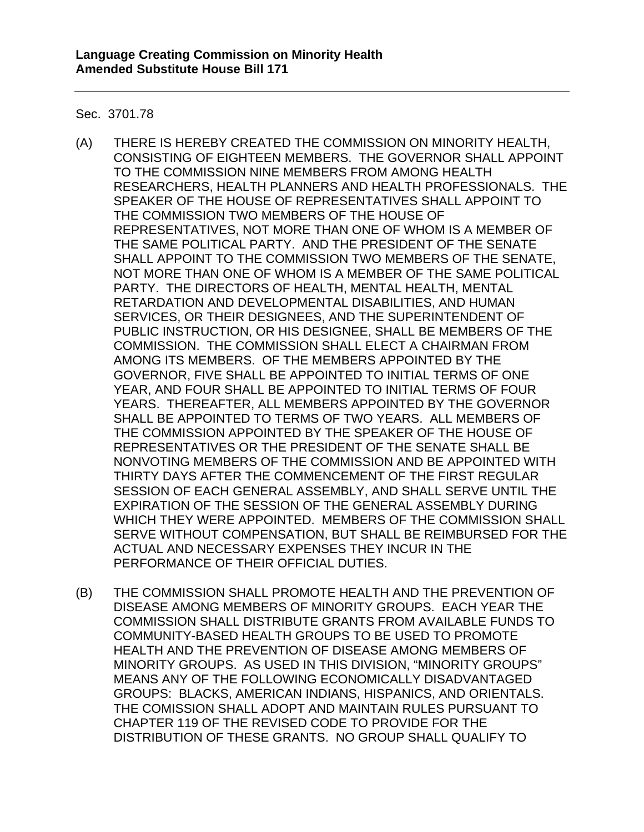Sec. 3701.78

- (A) THERE IS HEREBY CREATED THE COMMISSION ON MINORITY HEALTH, CONSISTING OF EIGHTEEN MEMBERS. THE GOVERNOR SHALL APPOINT TO THE COMMISSION NINE MEMBERS FROM AMONG HEALTH RESEARCHERS, HEALTH PLANNERS AND HEALTH PROFESSIONALS. THE SPEAKER OF THE HOUSE OF REPRESENTATIVES SHALL APPOINT TO THE COMMISSION TWO MEMBERS OF THE HOUSE OF REPRESENTATIVES, NOT MORE THAN ONE OF WHOM IS A MEMBER OF THE SAME POLITICAL PARTY. AND THE PRESIDENT OF THE SENATE SHALL APPOINT TO THE COMMISSION TWO MEMBERS OF THE SENATE, NOT MORE THAN ONE OF WHOM IS A MEMBER OF THE SAME POLITICAL PARTY. THE DIRECTORS OF HEALTH, MENTAL HEALTH, MENTAL RETARDATION AND DEVELOPMENTAL DISABILITIES, AND HUMAN SERVICES, OR THEIR DESIGNEES, AND THE SUPERINTENDENT OF PUBLIC INSTRUCTION, OR HIS DESIGNEE, SHALL BE MEMBERS OF THE COMMISSION. THE COMMISSION SHALL ELECT A CHAIRMAN FROM AMONG ITS MEMBERS. OF THE MEMBERS APPOINTED BY THE GOVERNOR, FIVE SHALL BE APPOINTED TO INITIAL TERMS OF ONE YEAR, AND FOUR SHALL BE APPOINTED TO INITIAL TERMS OF FOUR YEARS. THEREAFTER, ALL MEMBERS APPOINTED BY THE GOVERNOR SHALL BE APPOINTED TO TERMS OF TWO YEARS. ALL MEMBERS OF THE COMMISSION APPOINTED BY THE SPEAKER OF THE HOUSE OF REPRESENTATIVES OR THE PRESIDENT OF THE SENATE SHALL BE NONVOTING MEMBERS OF THE COMMISSION AND BE APPOINTED WITH THIRTY DAYS AFTER THE COMMENCEMENT OF THE FIRST REGULAR SESSION OF EACH GENERAL ASSEMBLY, AND SHALL SERVE UNTIL THE EXPIRATION OF THE SESSION OF THE GENERAL ASSEMBLY DURING WHICH THEY WERE APPOINTED. MEMBERS OF THE COMMISSION SHALL SERVE WITHOUT COMPENSATION, BUT SHALL BE REIMBURSED FOR THE ACTUAL AND NECESSARY EXPENSES THEY INCUR IN THE PERFORMANCE OF THEIR OFFICIAL DUTIES.
- (B) THE COMMISSION SHALL PROMOTE HEALTH AND THE PREVENTION OF DISEASE AMONG MEMBERS OF MINORITY GROUPS. EACH YEAR THE COMMISSION SHALL DISTRIBUTE GRANTS FROM AVAILABLE FUNDS TO COMMUNITY-BASED HEALTH GROUPS TO BE USED TO PROMOTE HEALTH AND THE PREVENTION OF DISEASE AMONG MEMBERS OF MINORITY GROUPS. AS USED IN THIS DIVISION, "MINORITY GROUPS" MEANS ANY OF THE FOLLOWING ECONOMICALLY DISADVANTAGED GROUPS: BLACKS, AMERICAN INDIANS, HISPANICS, AND ORIENTALS. THE COMISSION SHALL ADOPT AND MAINTAIN RULES PURSUANT TO CHAPTER 119 OF THE REVISED CODE TO PROVIDE FOR THE DISTRIBUTION OF THESE GRANTS. NO GROUP SHALL QUALIFY TO